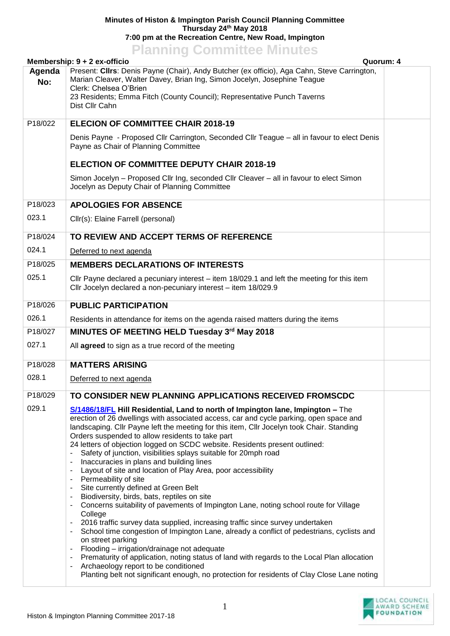## **Minutes of Histon & Impington Parish Council Planning Committee Thursday 24th May 2018 7:00 pm at the Recreation Centre, New Road, Impington**

**Planning Committee Minutes**

|               | Membership: 9 + 2 ex-officio                                                                                                                                                                                                                                                                                                                                                                                                                                                                                                                                                                                                                                                                                                                                                                                                                                                                                                                                                                                                                                                                                                                                                                                                                                                                                                   | Quorum: 4 |  |
|---------------|--------------------------------------------------------------------------------------------------------------------------------------------------------------------------------------------------------------------------------------------------------------------------------------------------------------------------------------------------------------------------------------------------------------------------------------------------------------------------------------------------------------------------------------------------------------------------------------------------------------------------------------------------------------------------------------------------------------------------------------------------------------------------------------------------------------------------------------------------------------------------------------------------------------------------------------------------------------------------------------------------------------------------------------------------------------------------------------------------------------------------------------------------------------------------------------------------------------------------------------------------------------------------------------------------------------------------------|-----------|--|
| Agenda<br>No: | Present: Cllrs: Denis Payne (Chair), Andy Butcher (ex officio), Aga Cahn, Steve Carrington,<br>Marian Cleaver, Walter Davey, Brian Ing, Simon Jocelyn, Josephine Teague<br>Clerk: Chelsea O'Brien<br>23 Residents; Emma Fitch (County Council); Representative Punch Taverns<br>Dist Cllr Cahn                                                                                                                                                                                                                                                                                                                                                                                                                                                                                                                                                                                                                                                                                                                                                                                                                                                                                                                                                                                                                                 |           |  |
| P18/022       | <b>ELECION OF COMMITTEE CHAIR 2018-19</b>                                                                                                                                                                                                                                                                                                                                                                                                                                                                                                                                                                                                                                                                                                                                                                                                                                                                                                                                                                                                                                                                                                                                                                                                                                                                                      |           |  |
|               | Denis Payne - Proposed Cllr Carrington, Seconded Cllr Teague - all in favour to elect Denis<br>Payne as Chair of Planning Committee                                                                                                                                                                                                                                                                                                                                                                                                                                                                                                                                                                                                                                                                                                                                                                                                                                                                                                                                                                                                                                                                                                                                                                                            |           |  |
|               | <b>ELECTION OF COMMITTEE DEPUTY CHAIR 2018-19</b>                                                                                                                                                                                                                                                                                                                                                                                                                                                                                                                                                                                                                                                                                                                                                                                                                                                                                                                                                                                                                                                                                                                                                                                                                                                                              |           |  |
|               | Simon Jocelyn – Proposed Cllr Ing, seconded Cllr Cleaver – all in favour to elect Simon<br>Jocelyn as Deputy Chair of Planning Committee                                                                                                                                                                                                                                                                                                                                                                                                                                                                                                                                                                                                                                                                                                                                                                                                                                                                                                                                                                                                                                                                                                                                                                                       |           |  |
| P18/023       | <b>APOLOGIES FOR ABSENCE</b>                                                                                                                                                                                                                                                                                                                                                                                                                                                                                                                                                                                                                                                                                                                                                                                                                                                                                                                                                                                                                                                                                                                                                                                                                                                                                                   |           |  |
| 023.1         | Cllr(s): Elaine Farrell (personal)                                                                                                                                                                                                                                                                                                                                                                                                                                                                                                                                                                                                                                                                                                                                                                                                                                                                                                                                                                                                                                                                                                                                                                                                                                                                                             |           |  |
| P18/024       | TO REVIEW AND ACCEPT TERMS OF REFERENCE                                                                                                                                                                                                                                                                                                                                                                                                                                                                                                                                                                                                                                                                                                                                                                                                                                                                                                                                                                                                                                                                                                                                                                                                                                                                                        |           |  |
| 024.1         | Deferred to next agenda                                                                                                                                                                                                                                                                                                                                                                                                                                                                                                                                                                                                                                                                                                                                                                                                                                                                                                                                                                                                                                                                                                                                                                                                                                                                                                        |           |  |
| P18/025       | <b>MEMBERS DECLARATIONS OF INTERESTS</b>                                                                                                                                                                                                                                                                                                                                                                                                                                                                                                                                                                                                                                                                                                                                                                                                                                                                                                                                                                                                                                                                                                                                                                                                                                                                                       |           |  |
| 025.1         | Cllr Payne declared a pecuniary interest – item 18/029.1 and left the meeting for this item<br>Cllr Jocelyn declared a non-pecuniary interest - item 18/029.9                                                                                                                                                                                                                                                                                                                                                                                                                                                                                                                                                                                                                                                                                                                                                                                                                                                                                                                                                                                                                                                                                                                                                                  |           |  |
| P18/026       | <b>PUBLIC PARTICIPATION</b>                                                                                                                                                                                                                                                                                                                                                                                                                                                                                                                                                                                                                                                                                                                                                                                                                                                                                                                                                                                                                                                                                                                                                                                                                                                                                                    |           |  |
| 026.1         | Residents in attendance for items on the agenda raised matters during the items                                                                                                                                                                                                                                                                                                                                                                                                                                                                                                                                                                                                                                                                                                                                                                                                                                                                                                                                                                                                                                                                                                                                                                                                                                                |           |  |
| P18/027       | MINUTES OF MEETING HELD Tuesday 3rd May 2018                                                                                                                                                                                                                                                                                                                                                                                                                                                                                                                                                                                                                                                                                                                                                                                                                                                                                                                                                                                                                                                                                                                                                                                                                                                                                   |           |  |
| 027.1         | All agreed to sign as a true record of the meeting                                                                                                                                                                                                                                                                                                                                                                                                                                                                                                                                                                                                                                                                                                                                                                                                                                                                                                                                                                                                                                                                                                                                                                                                                                                                             |           |  |
| P18/028       | <b>MATTERS ARISING</b>                                                                                                                                                                                                                                                                                                                                                                                                                                                                                                                                                                                                                                                                                                                                                                                                                                                                                                                                                                                                                                                                                                                                                                                                                                                                                                         |           |  |
| 028.1         | Deferred to next agenda                                                                                                                                                                                                                                                                                                                                                                                                                                                                                                                                                                                                                                                                                                                                                                                                                                                                                                                                                                                                                                                                                                                                                                                                                                                                                                        |           |  |
| P18/029       | TO CONSIDER NEW PLANNING APPLICATIONS RECEIVED FROMSCDC                                                                                                                                                                                                                                                                                                                                                                                                                                                                                                                                                                                                                                                                                                                                                                                                                                                                                                                                                                                                                                                                                                                                                                                                                                                                        |           |  |
| 029.1         | S/1486/18/FL Hill Residential, Land to north of Impington lane, Impington – The<br>erection of 26 dwellings with associated access, car and cycle parking, open space and<br>landscaping. Cllr Payne left the meeting for this item, Cllr Jocelyn took Chair. Standing<br>Orders suspended to allow residents to take part<br>24 letters of objection logged on SCDC website. Residents present outlined:<br>Safety of junction, visibilities splays suitable for 20mph road<br>Inaccuracies in plans and building lines<br>Layout of site and location of Play Area, poor accessibility<br>Permeability of site<br>Site currently defined at Green Belt<br>Biodiversity, birds, bats, reptiles on site<br>Concerns suitability of pavements of Impington Lane, noting school route for Village<br>College<br>2016 traffic survey data supplied, increasing traffic since survey undertaken<br>$\overline{\phantom{a}}$<br>School time congestion of Impington Lane, already a conflict of pedestrians, cyclists and<br>on street parking<br>Flooding - irrigation/drainage not adequate<br>Prematurity of application, noting status of land with regards to the Local Plan allocation<br>Archaeology report to be conditioned<br>Planting belt not significant enough, no protection for residents of Clay Close Lane noting |           |  |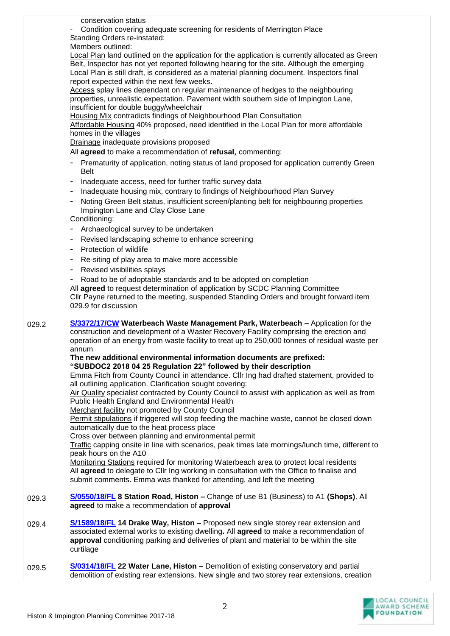|       | conservation status<br>Condition covering adequate screening for residents of Merrington Place<br>Standing Orders re-instated:<br>Members outlined:<br>Local Plan land outlined on the application for the application is currently allocated as Green<br>Belt, Inspector has not yet reported following hearing for the site. Although the emerging<br>Local Plan is still draft, is considered as a material planning document. Inspectors final<br>report expected within the next few weeks.<br>Access splay lines dependant on regular maintenance of hedges to the neighbouring<br>properties, unrealistic expectation. Pavement width southern side of Impington Lane,                                                                                                                                                                                                                                                                                                                                                                                                                                                                                                                                                                                                                                                                                                                          |  |
|-------|--------------------------------------------------------------------------------------------------------------------------------------------------------------------------------------------------------------------------------------------------------------------------------------------------------------------------------------------------------------------------------------------------------------------------------------------------------------------------------------------------------------------------------------------------------------------------------------------------------------------------------------------------------------------------------------------------------------------------------------------------------------------------------------------------------------------------------------------------------------------------------------------------------------------------------------------------------------------------------------------------------------------------------------------------------------------------------------------------------------------------------------------------------------------------------------------------------------------------------------------------------------------------------------------------------------------------------------------------------------------------------------------------------|--|
|       | insufficient for double buggy/wheelchair<br><b>Housing Mix contradicts findings of Neighbourhood Plan Consultation</b><br>Affordable Housing 40% proposed, need identified in the Local Plan for more affordable<br>homes in the villages<br>Drainage inadequate provisions proposed<br>All agreed to make a recommendation of refusal, commenting:<br>Prematurity of application, noting status of land proposed for application currently Green                                                                                                                                                                                                                                                                                                                                                                                                                                                                                                                                                                                                                                                                                                                                                                                                                                                                                                                                                      |  |
|       | <b>Belt</b><br>Inadequate access, need for further traffic survey data<br>Inadequate housing mix, contrary to findings of Neighbourhood Plan Survey<br>Noting Green Belt status, insufficient screen/planting belt for neighbouring properties<br>Impington Lane and Clay Close Lane<br>Conditioning:                                                                                                                                                                                                                                                                                                                                                                                                                                                                                                                                                                                                                                                                                                                                                                                                                                                                                                                                                                                                                                                                                                  |  |
|       | Archaeological survey to be undertaken<br>$\overline{\phantom{a}}$<br>Revised landscaping scheme to enhance screening<br>Protection of wildlife<br>Re-siting of play area to make more accessible<br>Revised visibilities splays<br>$\overline{\phantom{a}}$<br>Road to be of adoptable standards and to be adopted on completion<br>All agreed to request determination of application by SCDC Planning Committee<br>CIIr Payne returned to the meeting, suspended Standing Orders and brought forward item<br>029.9 for discussion                                                                                                                                                                                                                                                                                                                                                                                                                                                                                                                                                                                                                                                                                                                                                                                                                                                                   |  |
| 029.2 | S/3372/17/CW Waterbeach Waste Management Park, Waterbeach - Application for the<br>construction and development of a Waster Recovery Facility comprising the erection and<br>operation of an energy from waste facility to treat up to 250,000 tonnes of residual waste per<br>annum<br>The new additional environmental information documents are prefixed:<br>"SUBDOC2 2018 04 25 Regulation 22" followed by their description<br>Emma Fitch from County Council in attendance. Cllr Ing had drafted statement, provided to<br>all outlining application. Clarification sought covering:<br>Air Quality specialist contracted by County Council to assist with application as well as from<br>Public Health England and Environmental Health<br>Merchant facility not promoted by County Council<br>Permit stipulations if triggered will stop feeding the machine waste, cannot be closed down<br>automatically due to the heat process place<br>Cross over between planning and environmental permit<br>Traffic capping onsite in line with scenarios, peak times late mornings/lunch time, different to<br>peak hours on the A10<br>Monitoring Stations required for monitoring Waterbeach area to protect local residents<br>All agreed to delegate to Cllr Ing working in consultation with the Office to finalise and<br>submit comments. Emma was thanked for attending, and left the meeting |  |
| 029.3 | S/0550/18/FL 8 Station Road, Histon - Change of use B1 (Business) to A1 (Shops). All<br>agreed to make a recommendation of approval                                                                                                                                                                                                                                                                                                                                                                                                                                                                                                                                                                                                                                                                                                                                                                                                                                                                                                                                                                                                                                                                                                                                                                                                                                                                    |  |
| 029.4 | S/1589/18/FL 14 Drake Way, Histon - Proposed new single storey rear extension and<br>associated external works to existing dwelling. All agreed to make a recommendation of<br>approval conditioning parking and deliveries of plant and material to be within the site<br>curtilage                                                                                                                                                                                                                                                                                                                                                                                                                                                                                                                                                                                                                                                                                                                                                                                                                                                                                                                                                                                                                                                                                                                   |  |
| 029.5 | S/0314/18/FL 22 Water Lane, Histon - Demolition of existing conservatory and partial<br>demolition of existing rear extensions. New single and two storey rear extensions, creation                                                                                                                                                                                                                                                                                                                                                                                                                                                                                                                                                                                                                                                                                                                                                                                                                                                                                                                                                                                                                                                                                                                                                                                                                    |  |

LOCAL COUNCIL<br>AWARD SCHEME<br>FOUNDATION